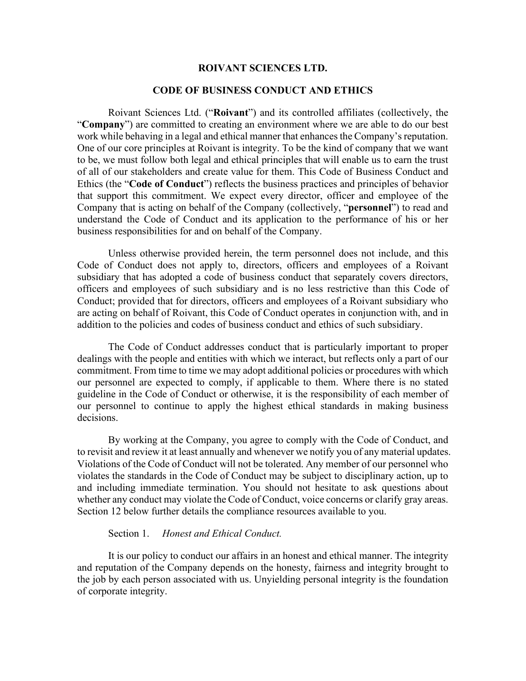# **ROIVANT SCIENCES LTD.**

## **CODE OF BUSINESS CONDUCT AND ETHICS**

Roivant Sciences Ltd. ("**Roivant**") and its controlled affiliates (collectively, the "**Company**") are committed to creating an environment where we are able to do our best work while behaving in a legal and ethical manner that enhances the Company's reputation. One of our core principles at Roivant is integrity. To be the kind of company that we want to be, we must follow both legal and ethical principles that will enable us to earn the trust of all of our stakeholders and create value for them. This Code of Business Conduct and Ethics (the "**Code of Conduct**") reflects the business practices and principles of behavior that support this commitment. We expect every director, officer and employee of the Company that is acting on behalf of the Company (collectively, "**personnel**") to read and understand the Code of Conduct and its application to the performance of his or her business responsibilities for and on behalf of the Company.

Unless otherwise provided herein, the term personnel does not include, and this Code of Conduct does not apply to, directors, officers and employees of a Roivant subsidiary that has adopted a code of business conduct that separately covers directors, officers and employees of such subsidiary and is no less restrictive than this Code of Conduct; provided that for directors, officers and employees of a Roivant subsidiary who are acting on behalf of Roivant, this Code of Conduct operates in conjunction with, and in addition to the policies and codes of business conduct and ethics of such subsidiary.

The Code of Conduct addresses conduct that is particularly important to proper dealings with the people and entities with which we interact, but reflects only a part of our commitment. From time to time we may adopt additional policies or procedures with which our personnel are expected to comply, if applicable to them. Where there is no stated guideline in the Code of Conduct or otherwise, it is the responsibility of each member of our personnel to continue to apply the highest ethical standards in making business decisions.

By working at the Company, you agree to comply with the Code of Conduct, and to revisit and review it at least annually and whenever we notify you of any material updates. Violations of the Code of Conduct will not be tolerated. Any member of our personnel who violates the standards in the Code of Conduct may be subject to disciplinary action, up to and including immediate termination. You should not hesitate to ask questions about whether any conduct may violate the Code of Conduct, voice concerns or clarify gray areas. [Section 12](#page-10-0) below further details the compliance resources available to you.

#### Section 1. *Honest and Ethical Conduct.*

It is our policy to conduct our affairs in an honest and ethical manner. The integrity and reputation of the Company depends on the honesty, fairness and integrity brought to the job by each person associated with us. Unyielding personal integrity is the foundation of corporate integrity.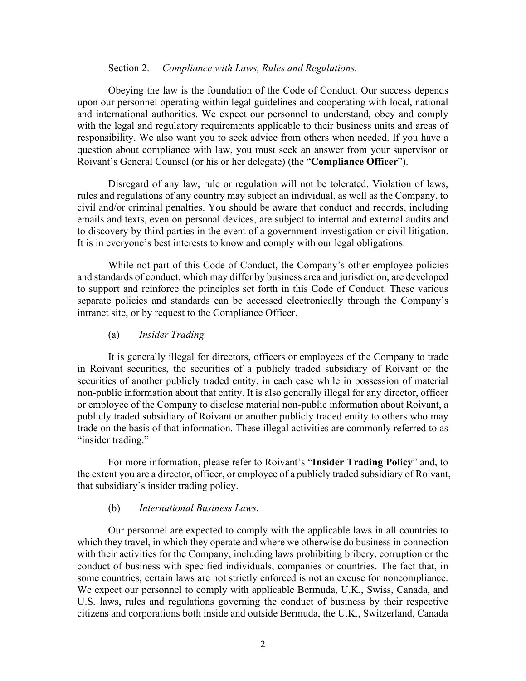### Section 2. *Compliance with Laws, Rules and Regulations.*

<span id="page-1-0"></span>Obeying the law is the foundation of the Code of Conduct. Our success depends upon our personnel operating within legal guidelines and cooperating with local, national and international authorities. We expect our personnel to understand, obey and comply with the legal and regulatory requirements applicable to their business units and areas of responsibility. We also want you to seek advice from others when needed. If you have a question about compliance with law, you must seek an answer from your supervisor or Roivant's General Counsel (or his or her delegate) (the "**Compliance Officer**").

Disregard of any law, rule or regulation will not be tolerated. Violation of laws, rules and regulations of any country may subject an individual, as well as the Company, to civil and/or criminal penalties. You should be aware that conduct and records, including emails and texts, even on personal devices, are subject to internal and external audits and to discovery by third parties in the event of a government investigation or civil litigation. It is in everyone's best interests to know and comply with our legal obligations.

While not part of this Code of Conduct, the Company's other employee policies and standards of conduct, which may differ by business area and jurisdiction, are developed to support and reinforce the principles set forth in this Code of Conduct. These various separate policies and standards can be accessed electronically through the Company's intranet site, or by request to the Compliance Officer.

#### (a) *Insider Trading.*

It is generally illegal for directors, officers or employees of the Company to trade in Roivant securities, the securities of a publicly traded subsidiary of Roivant or the securities of another publicly traded entity, in each case while in possession of material non-public information about that entity. It is also generally illegal for any director, officer or employee of the Company to disclose material non-public information about Roivant, a publicly traded subsidiary of Roivant or another publicly traded entity to others who may trade on the basis of that information. These illegal activities are commonly referred to as "insider trading."

For more information, please refer to Roivant's "**Insider Trading Policy**" and, to the extent you are a director, officer, or employee of a publicly traded subsidiary of Roivant, that subsidiary's insider trading policy.

#### (b) *International Business Laws.*

Our personnel are expected to comply with the applicable laws in all countries to which they travel, in which they operate and where we otherwise do business in connection with their activities for the Company, including laws prohibiting bribery, corruption or the conduct of business with specified individuals, companies or countries. The fact that, in some countries, certain laws are not strictly enforced is not an excuse for noncompliance. We expect our personnel to comply with applicable Bermuda, U.K., Swiss, Canada, and U.S. laws, rules and regulations governing the conduct of business by their respective citizens and corporations both inside and outside Bermuda, the U.K., Switzerland, Canada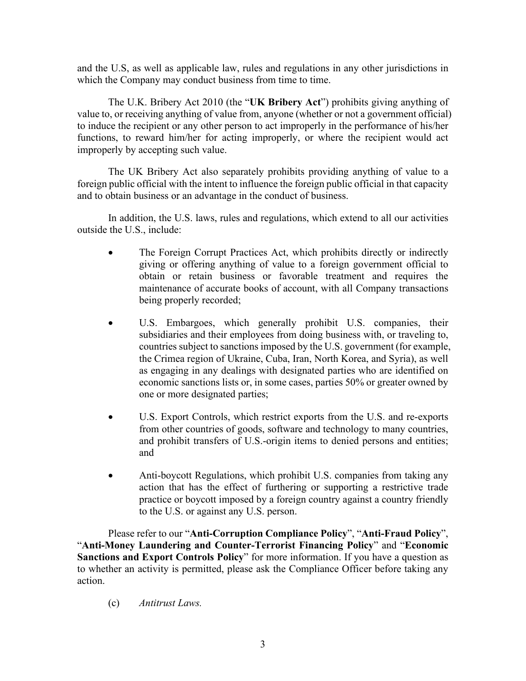and the U.S, as well as applicable law, rules and regulations in any other jurisdictions in which the Company may conduct business from time to time.

The U.K. Bribery Act 2010 (the "**UK Bribery Act**") prohibits giving anything of value to, or receiving anything of value from, anyone (whether or not a government official) to induce the recipient or any other person to act improperly in the performance of his/her functions, to reward him/her for acting improperly, or where the recipient would act improperly by accepting such value.

The UK Bribery Act also separately prohibits providing anything of value to a foreign public official with the intent to influence the foreign public official in that capacity and to obtain business or an advantage in the conduct of business.

In addition, the U.S. laws, rules and regulations, which extend to all our activities outside the U.S., include:

- The Foreign Corrupt Practices Act, which prohibits directly or indirectly giving or offering anything of value to a foreign government official to obtain or retain business or favorable treatment and requires the maintenance of accurate books of account, with all Company transactions being properly recorded;
- U.S. Embargoes, which generally prohibit U.S. companies, their subsidiaries and their employees from doing business with, or traveling to, countries subject to sanctions imposed by the U.S. government (for example, the Crimea region of Ukraine, Cuba, Iran, North Korea, and Syria), as well as engaging in any dealings with designated parties who are identified on economic sanctions lists or, in some cases, parties 50% or greater owned by one or more designated parties;
- U.S. Export Controls, which restrict exports from the U.S. and re-exports from other countries of goods, software and technology to many countries, and prohibit transfers of U.S.-origin items to denied persons and entities; and
- Anti-boycott Regulations, which prohibit U.S. companies from taking any action that has the effect of furthering or supporting a restrictive trade practice or boycott imposed by a foreign country against a country friendly to the U.S. or against any U.S. person.

Please refer to our "**Anti-Corruption Compliance Policy**", "**Anti-Fraud Policy**", "**Anti-Money Laundering and Counter-Terrorist Financing Policy**" and "**Economic Sanctions and Export Controls Policy**" for more information. If you have a question as to whether an activity is permitted, please ask the Compliance Officer before taking any action.

(c) *Antitrust Laws.*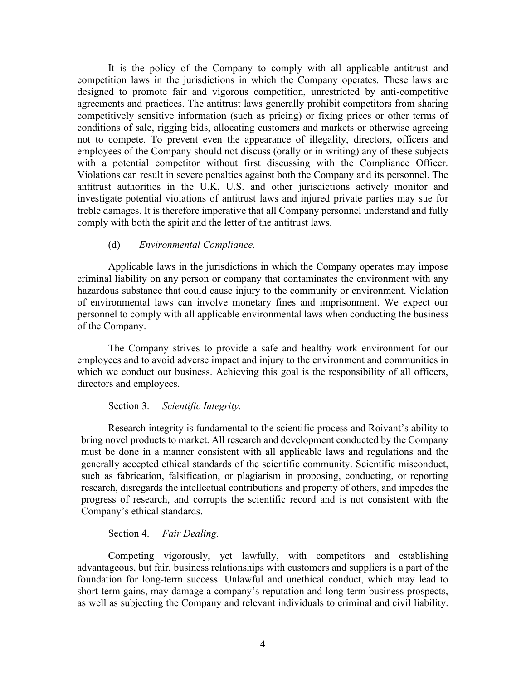It is the policy of the Company to comply with all applicable antitrust and competition laws in the jurisdictions in which the Company operates. These laws are designed to promote fair and vigorous competition, unrestricted by anti-competitive agreements and practices. The antitrust laws generally prohibit competitors from sharing competitively sensitive information (such as pricing) or fixing prices or other terms of conditions of sale, rigging bids, allocating customers and markets or otherwise agreeing not to compete. To prevent even the appearance of illegality, directors, officers and employees of the Company should not discuss (orally or in writing) any of these subjects with a potential competitor without first discussing with the Compliance Officer. Violations can result in severe penalties against both the Company and its personnel. The antitrust authorities in the U.K, U.S. and other jurisdictions actively monitor and investigate potential violations of antitrust laws and injured private parties may sue for treble damages. It is therefore imperative that all Company personnel understand and fully comply with both the spirit and the letter of the antitrust laws.

## (d) *Environmental Compliance.*

Applicable laws in the jurisdictions in which the Company operates may impose criminal liability on any person or company that contaminates the environment with any hazardous substance that could cause injury to the community or environment. Violation of environmental laws can involve monetary fines and imprisonment. We expect our personnel to comply with all applicable environmental laws when conducting the business of the Company.

The Company strives to provide a safe and healthy work environment for our employees and to avoid adverse impact and injury to the environment and communities in which we conduct our business. Achieving this goal is the responsibility of all officers, directors and employees.

#### Section 3. *Scientific Integrity.*

Research integrity is fundamental to the scientific process and Roivant's ability to bring novel products to market. All research and development conducted by the Company must be done in a manner consistent with all applicable laws and regulations and the generally accepted ethical standards of the scientific community. Scientific misconduct, such as fabrication, falsification, or plagiarism in proposing, conducting, or reporting research, disregards the intellectual contributions and property of others, and impedes the progress of research, and corrupts the scientific record and is not consistent with the Company's ethical standards.

#### Section 4. *Fair Dealing.*

Competing vigorously, yet lawfully, with competitors and establishing advantageous, but fair, business relationships with customers and suppliers is a part of the foundation for long-term success. Unlawful and unethical conduct, which may lead to short-term gains, may damage a company's reputation and long-term business prospects, as well as subjecting the Company and relevant individuals to criminal and civil liability.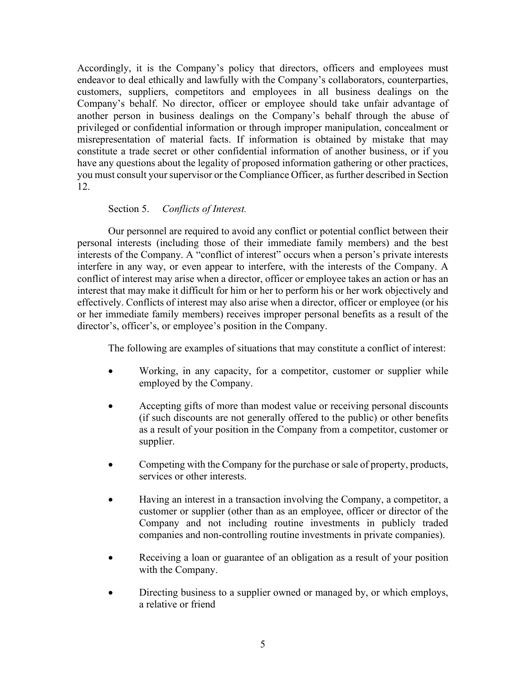Accordingly, it is the Company's policy that directors, officers and employees must endeavor to deal ethically and lawfully with the Company's collaborators, counterparties, customers, suppliers, competitors and employees in all business dealings on the Company's behalf. No director, officer or employee should take unfair advantage of another person in business dealings on the Company's behalf through the abuse of privileged or confidential information or through improper manipulation, concealment or misrepresentation of material facts. If information is obtained by mistake that may constitute a trade secret or other confidential information of another business, or if you have any questions about the legality of proposed information gathering or other practices, you must consult your supervisor or the Compliance Officer, as further described in [Section](#page-10-0)  [12](#page-10-0).

# Section 5. *Conflicts of Interest.*

Our personnel are required to avoid any conflict or potential conflict between their personal interests (including those of their immediate family members) and the best interests of the Company. A "conflict of interest" occurs when a person's private interests interfere in any way, or even appear to interfere, with the interests of the Company. A conflict of interest may arise when a director, officer or employee takes an action or has an interest that may make it difficult for him or her to perform his or her work objectively and effectively. Conflicts of interest may also arise when a director, officer or employee (or his or her immediate family members) receives improper personal benefits as a result of the director's, officer's, or employee's position in the Company.

The following are examples of situations that may constitute a conflict of interest:

- Working, in any capacity, for a competitor, customer or supplier while employed by the Company.
- Accepting gifts of more than modest value or receiving personal discounts (if such discounts are not generally offered to the public) or other benefits as a result of your position in the Company from a competitor, customer or supplier.
- Competing with the Company for the purchase or sale of property, products, services or other interests.
- Having an interest in a transaction involving the Company, a competitor, a customer or supplier (other than as an employee, officer or director of the Company and not including routine investments in publicly traded companies and non-controlling routine investments in private companies).
- Receiving a loan or guarantee of an obligation as a result of your position with the Company.
- Directing business to a supplier owned or managed by, or which employs, a relative or friend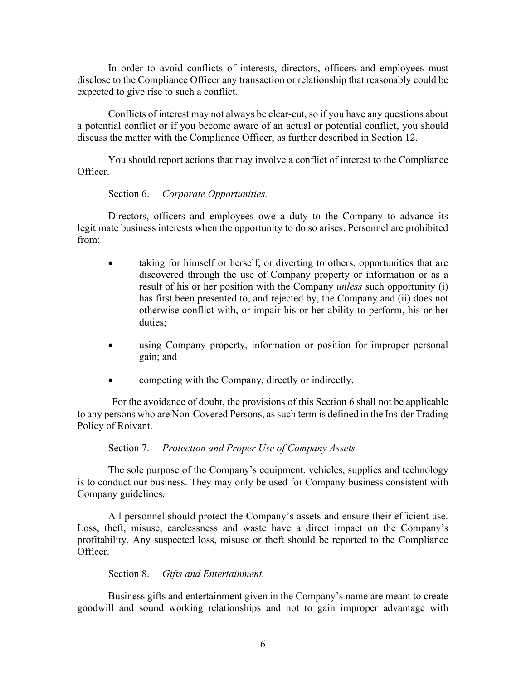In order to avoid conflicts of interests, directors, officers and employees must disclose to the Compliance Officer any transaction or relationship that reasonably could be expected to give rise to such a conflict.

Conflicts of interest may not always be clear-cut, so if you have any questions about a potential conflict or if you become aware of an actual or potential conflict, you should discuss the matter with the Compliance Officer, as further described in [Section 12](#page-10-0).

You should report actions that may involve a conflict of interest to the Compliance Officer.

Section 6. *Corporate Opportunities.*

Directors, officers and employees owe a duty to the Company to advance its legitimate business interests when the opportunity to do so arises. Personnel are prohibited from:

- taking for himself or herself, or diverting to others, opportunities that are discovered through the use of Company property or information or as a result of his or her position with the Company *unless* such opportunity (i) has first been presented to, and rejected by, the Company and (ii) does not otherwise conflict with, or impair his or her ability to perform, his or her duties;
- using Company property, information or position for improper personal gain; and
- competing with the Company, directly or indirectly.

For the avoidance of doubt, the provisions of this Section 6 shall not be applicable to any persons who are Non-Covered Persons, as such term is defined in the Insider Trading Policy of Roivant.

Section 7. *Protection and Proper Use of Company Assets.*

The sole purpose of the Company's equipment, vehicles, supplies and technology is to conduct our business. They may only be used for Company business consistent with Company guidelines.

All personnel should protect the Company's assets and ensure their efficient use. Loss, theft, misuse, carelessness and waste have a direct impact on the Company's profitability. Any suspected loss, misuse or theft should be reported to the Compliance Officer.

## Section 8. *Gifts and Entertainment.*

Business gifts and entertainment given in the Company's name are meant to create goodwill and sound working relationships and not to gain improper advantage with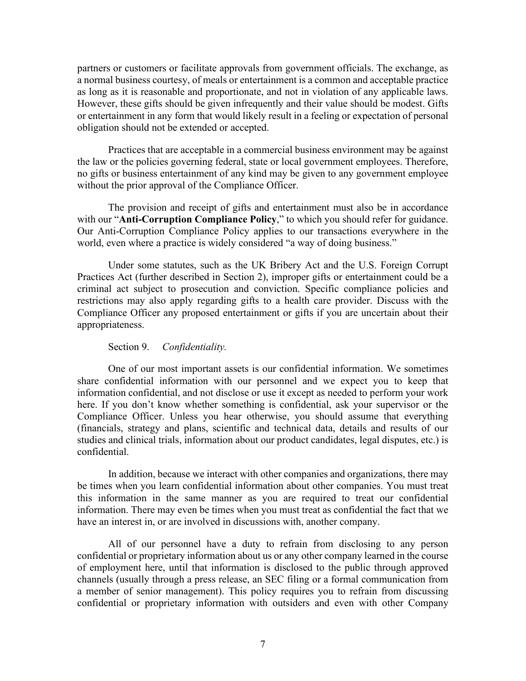partners or customers or facilitate approvals from government officials. The exchange, as a normal business courtesy, of meals or entertainment is a common and acceptable practice as long as it is reasonable and proportionate, and not in violation of any applicable laws. However, these gifts should be given infrequently and their value should be modest. Gifts or entertainment in any form that would likely result in a feeling or expectation of personal obligation should not be extended or accepted.

Practices that are acceptable in a commercial business environment may be against the law or the policies governing federal, state or local government employees. Therefore, no gifts or business entertainment of any kind may be given to any government employee without the prior approval of the Compliance Officer.

The provision and receipt of gifts and entertainment must also be in accordance with our "**Anti-Corruption Compliance Policy**," to which you should refer for guidance. Our Anti-Corruption Compliance Policy applies to our transactions everywhere in the world, even where a practice is widely considered "a way of doing business."

Under some statutes, such as the UK Bribery Act and the U.S. Foreign Corrupt Practices Act (further described in [Section 2\)](#page-1-0), improper gifts or entertainment could be a criminal act subject to prosecution and conviction. Specific compliance policies and restrictions may also apply regarding gifts to a health care provider. Discuss with the Compliance Officer any proposed entertainment or gifts if you are uncertain about their appropriateness.

## Section 9. *Confidentiality.*

One of our most important assets is our confidential information. We sometimes share confidential information with our personnel and we expect you to keep that information confidential, and not disclose or use it except as needed to perform your work here. If you don't know whether something is confidential, ask your supervisor or the Compliance Officer. Unless you hear otherwise, you should assume that everything (financials, strategy and plans, scientific and technical data, details and results of our studies and clinical trials, information about our product candidates, legal disputes, etc.) is confidential.

In addition, because we interact with other companies and organizations, there may be times when you learn confidential information about other companies. You must treat this information in the same manner as you are required to treat our confidential information. There may even be times when you must treat as confidential the fact that we have an interest in, or are involved in discussions with, another company.

All of our personnel have a duty to refrain from disclosing to any person confidential or proprietary information about us or any other company learned in the course of employment here, until that information is disclosed to the public through approved channels (usually through a press release, an SEC filing or a formal communication from a member of senior management). This policy requires you to refrain from discussing confidential or proprietary information with outsiders and even with other Company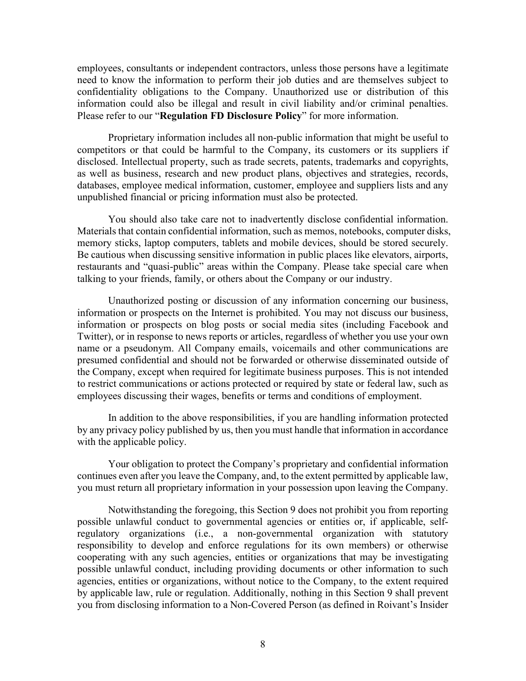employees, consultants or independent contractors, unless those persons have a legitimate need to know the information to perform their job duties and are themselves subject to confidentiality obligations to the Company. Unauthorized use or distribution of this information could also be illegal and result in civil liability and/or criminal penalties. Please refer to our "**Regulation FD Disclosure Policy**" for more information.

Proprietary information includes all non-public information that might be useful to competitors or that could be harmful to the Company, its customers or its suppliers if disclosed. Intellectual property, such as trade secrets, patents, trademarks and copyrights, as well as business, research and new product plans, objectives and strategies, records, databases, employee medical information, customer, employee and suppliers lists and any unpublished financial or pricing information must also be protected.

You should also take care not to inadvertently disclose confidential information. Materials that contain confidential information, such as memos, notebooks, computer disks, memory sticks, laptop computers, tablets and mobile devices, should be stored securely. Be cautious when discussing sensitive information in public places like elevators, airports, restaurants and "quasi-public" areas within the Company. Please take special care when talking to your friends, family, or others about the Company or our industry.

Unauthorized posting or discussion of any information concerning our business, information or prospects on the Internet is prohibited. You may not discuss our business, information or prospects on blog posts or social media sites (including Facebook and Twitter), or in response to news reports or articles, regardless of whether you use your own name or a pseudonym. All Company emails, voicemails and other communications are presumed confidential and should not be forwarded or otherwise disseminated outside of the Company, except when required for legitimate business purposes. This is not intended to restrict communications or actions protected or required by state or federal law, such as employees discussing their wages, benefits or terms and conditions of employment.

In addition to the above responsibilities, if you are handling information protected by any privacy policy published by us, then you must handle that information in accordance with the applicable policy.

Your obligation to protect the Company's proprietary and confidential information continues even after you leave the Company, and, to the extent permitted by applicable law, you must return all proprietary information in your possession upon leaving the Company.

Notwithstanding the foregoing, this Section 9 does not prohibit you from reporting possible unlawful conduct to governmental agencies or entities or, if applicable, selfregulatory organizations (i.e., a non-governmental organization with statutory responsibility to develop and enforce regulations for its own members) or otherwise cooperating with any such agencies, entities or organizations that may be investigating possible unlawful conduct, including providing documents or other information to such agencies, entities or organizations, without notice to the Company, to the extent required by applicable law, rule or regulation. Additionally, nothing in this Section 9 shall prevent you from disclosing information to a Non-Covered Person (as defined in Roivant's Insider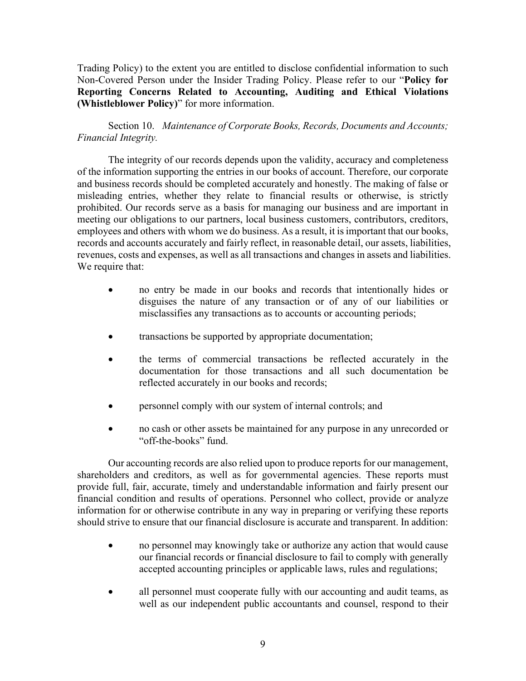Trading Policy) to the extent you are entitled to disclose confidential information to such Non-Covered Person under the Insider Trading Policy. Please refer to our "**Policy for Reporting Concerns Related to Accounting, Auditing and Ethical Violations (Whistleblower Policy)**" for more information.

Section 10. *Maintenance of Corporate Books, Records, Documents and Accounts; Financial Integrity.*

The integrity of our records depends upon the validity, accuracy and completeness of the information supporting the entries in our books of account. Therefore, our corporate and business records should be completed accurately and honestly. The making of false or misleading entries, whether they relate to financial results or otherwise, is strictly prohibited. Our records serve as a basis for managing our business and are important in meeting our obligations to our partners, local business customers, contributors, creditors, employees and others with whom we do business. As a result, it is important that our books, records and accounts accurately and fairly reflect, in reasonable detail, our assets, liabilities, revenues, costs and expenses, as well as all transactions and changes in assets and liabilities. We require that:

- no entry be made in our books and records that intentionally hides or disguises the nature of any transaction or of any of our liabilities or misclassifies any transactions as to accounts or accounting periods;
- transactions be supported by appropriate documentation;
- the terms of commercial transactions be reflected accurately in the documentation for those transactions and all such documentation be reflected accurately in our books and records;
- personnel comply with our system of internal controls; and
- no cash or other assets be maintained for any purpose in any unrecorded or "off-the-books" fund.

Our accounting records are also relied upon to produce reports for our management, shareholders and creditors, as well as for governmental agencies. These reports must provide full, fair, accurate, timely and understandable information and fairly present our financial condition and results of operations. Personnel who collect, provide or analyze information for or otherwise contribute in any way in preparing or verifying these reports should strive to ensure that our financial disclosure is accurate and transparent. In addition:

- no personnel may knowingly take or authorize any action that would cause our financial records or financial disclosure to fail to comply with generally accepted accounting principles or applicable laws, rules and regulations;
- all personnel must cooperate fully with our accounting and audit teams, as well as our independent public accountants and counsel, respond to their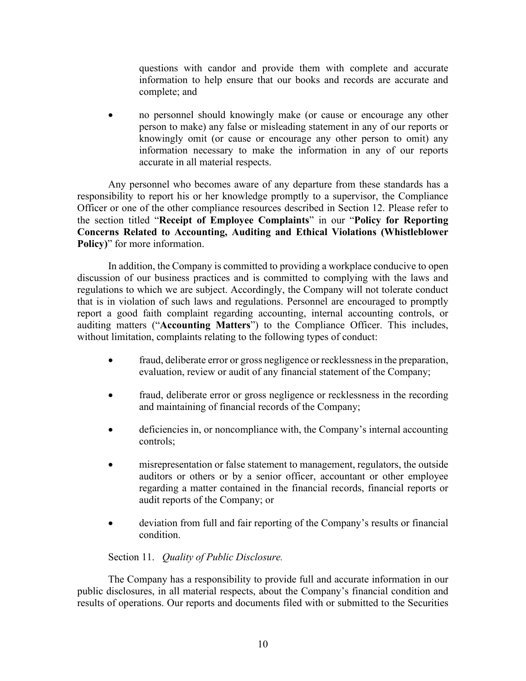questions with candor and provide them with complete and accurate information to help ensure that our books and records are accurate and complete; and

• no personnel should knowingly make (or cause or encourage any other person to make) any false or misleading statement in any of our reports or knowingly omit (or cause or encourage any other person to omit) any information necessary to make the information in any of our reports accurate in all material respects.

Any personnel who becomes aware of any departure from these standards has a responsibility to report his or her knowledge promptly to a supervisor, the Compliance Officer or one of the other compliance resources described in [Section 12](#page-10-0). Please refer to the section titled "**Receipt of Employee Complaints**" in our "**Policy for Reporting Concerns Related to Accounting, Auditing and Ethical Violations (Whistleblower Policy)**" for more information.

In addition, the Company is committed to providing a workplace conducive to open discussion of our business practices and is committed to complying with the laws and regulations to which we are subject. Accordingly, the Company will not tolerate conduct that is in violation of such laws and regulations. Personnel are encouraged to promptly report a good faith complaint regarding accounting, internal accounting controls, or auditing matters ("**Accounting Matters**") to the Compliance Officer. This includes, without limitation, complaints relating to the following types of conduct:

- fraud, deliberate error or gross negligence or recklessness in the preparation, evaluation, review or audit of any financial statement of the Company;
- fraud, deliberate error or gross negligence or recklessness in the recording and maintaining of financial records of the Company;
- deficiencies in, or noncompliance with, the Company's internal accounting controls;
- misrepresentation or false statement to management, regulators, the outside auditors or others or by a senior officer, accountant or other employee regarding a matter contained in the financial records, financial reports or audit reports of the Company; or
- deviation from full and fair reporting of the Company's results or financial condition.

# Section 11. *Quality of Public Disclosure.*

The Company has a responsibility to provide full and accurate information in our public disclosures, in all material respects, about the Company's financial condition and results of operations. Our reports and documents filed with or submitted to the Securities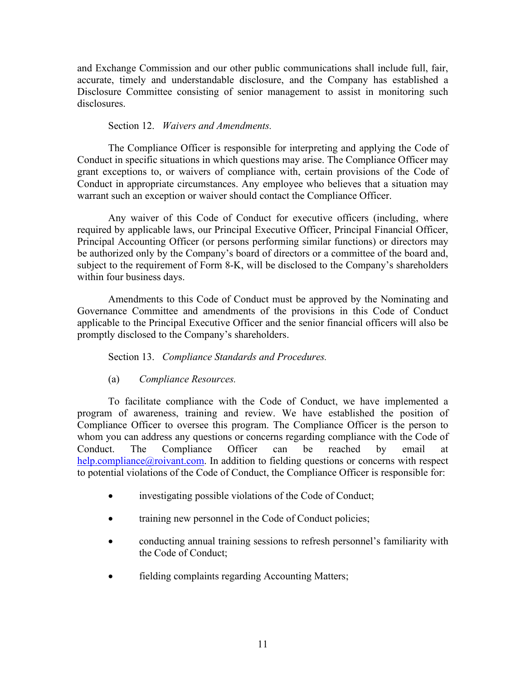and Exchange Commission and our other public communications shall include full, fair, accurate, timely and understandable disclosure, and the Company has established a Disclosure Committee consisting of senior management to assist in monitoring such disclosures.

# Section 12. *Waivers and Amendments.*

<span id="page-10-0"></span>The Compliance Officer is responsible for interpreting and applying the Code of Conduct in specific situations in which questions may arise. The Compliance Officer may grant exceptions to, or waivers of compliance with, certain provisions of the Code of Conduct in appropriate circumstances. Any employee who believes that a situation may warrant such an exception or waiver should contact the Compliance Officer.

Any waiver of this Code of Conduct for executive officers (including, where required by applicable laws, our Principal Executive Officer, Principal Financial Officer, Principal Accounting Officer (or persons performing similar functions) or directors may be authorized only by the Company's board of directors or a committee of the board and, subject to the requirement of Form 8-K, will be disclosed to the Company's shareholders within four business days.

Amendments to this Code of Conduct must be approved by the Nominating and Governance Committee and amendments of the provisions in this Code of Conduct applicable to the Principal Executive Officer and the senior financial officers will also be promptly disclosed to the Company's shareholders.

Section 13. *Compliance Standards and Procedures.*

(a) *Compliance Resources.*

To facilitate compliance with the Code of Conduct, we have implemented a program of awareness, training and review. We have established the position of Compliance Officer to oversee this program. The Compliance Officer is the person to whom you can address any questions or concerns regarding compliance with the Code of Conduct. The Compliance Officer can be reached by email at [help.compliance@roivant.com.](mailto:help.compliance@roivant.com) In addition to fielding questions or concerns with respect to potential violations of the Code of Conduct, the Compliance Officer is responsible for:

- investigating possible violations of the Code of Conduct;
- training new personnel in the Code of Conduct policies;
- conducting annual training sessions to refresh personnel's familiarity with the Code of Conduct;
- fielding complaints regarding Accounting Matters;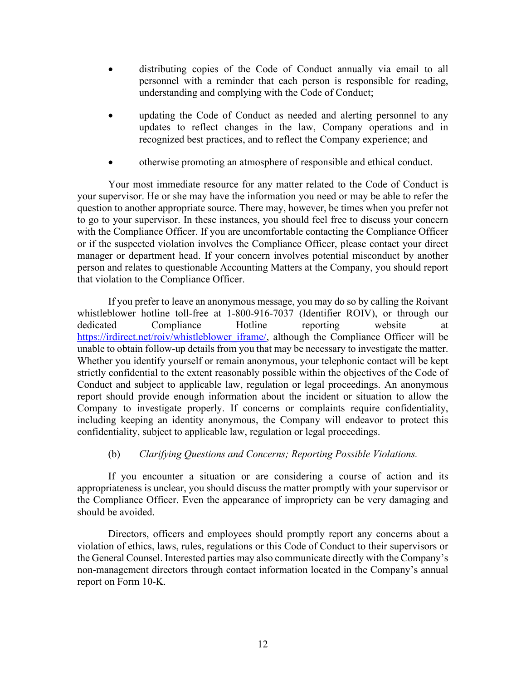- distributing copies of the Code of Conduct annually via email to all personnel with a reminder that each person is responsible for reading, understanding and complying with the Code of Conduct;
- updating the Code of Conduct as needed and alerting personnel to any updates to reflect changes in the law, Company operations and in recognized best practices, and to reflect the Company experience; and
- otherwise promoting an atmosphere of responsible and ethical conduct.

Your most immediate resource for any matter related to the Code of Conduct is your supervisor. He or she may have the information you need or may be able to refer the question to another appropriate source. There may, however, be times when you prefer not to go to your supervisor. In these instances, you should feel free to discuss your concern with the Compliance Officer. If you are uncomfortable contacting the Compliance Officer or if the suspected violation involves the Compliance Officer, please contact your direct manager or department head. If your concern involves potential misconduct by another person and relates to questionable Accounting Matters at the Company, you should report that violation to the Compliance Officer.

If you prefer to leave an anonymous message, you may do so by calling the Roivant whistleblower hotline toll-free at 1-800-916-7037 (Identifier ROIV), or through our dedicated Compliance Hotline reporting website at [https://irdirect.net/roiv/whistleblower\\_iframe/,](https://irdirect.net/roiv/whistleblower_iframe/) although the Compliance Officer will be unable to obtain follow-up details from you that may be necessary to investigate the matter. Whether you identify yourself or remain anonymous, your telephonic contact will be kept strictly confidential to the extent reasonably possible within the objectives of the Code of Conduct and subject to applicable law, regulation or legal proceedings. An anonymous report should provide enough information about the incident or situation to allow the Company to investigate properly. If concerns or complaints require confidentiality, including keeping an identity anonymous, the Company will endeavor to protect this confidentiality, subject to applicable law, regulation or legal proceedings.

# (b) *Clarifying Questions and Concerns; Reporting Possible Violations.*

If you encounter a situation or are considering a course of action and its appropriateness is unclear, you should discuss the matter promptly with your supervisor or the Compliance Officer. Even the appearance of impropriety can be very damaging and should be avoided.

Directors, officers and employees should promptly report any concerns about a violation of ethics, laws, rules, regulations or this Code of Conduct to their supervisors or the General Counsel. Interested parties may also communicate directly with the Company's non-management directors through contact information located in the Company's annual report on Form 10-K.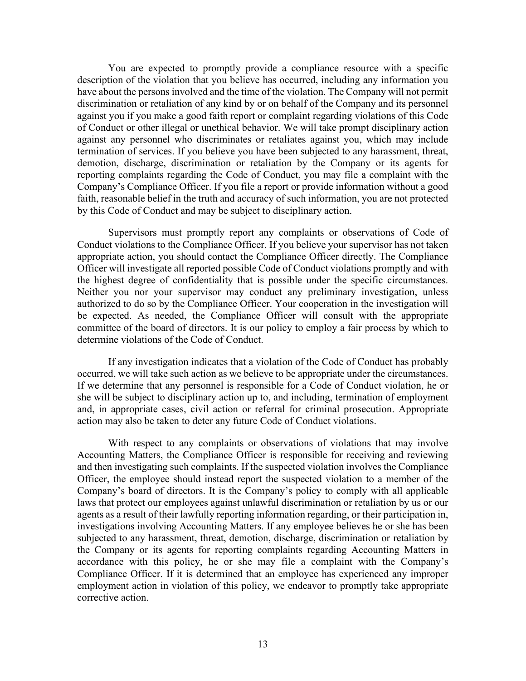You are expected to promptly provide a compliance resource with a specific description of the violation that you believe has occurred, including any information you have about the persons involved and the time of the violation. The Company will not permit discrimination or retaliation of any kind by or on behalf of the Company and its personnel against you if you make a good faith report or complaint regarding violations of this Code of Conduct or other illegal or unethical behavior. We will take prompt disciplinary action against any personnel who discriminates or retaliates against you, which may include termination of services. If you believe you have been subjected to any harassment, threat, demotion, discharge, discrimination or retaliation by the Company or its agents for reporting complaints regarding the Code of Conduct, you may file a complaint with the Company's Compliance Officer. If you file a report or provide information without a good faith, reasonable belief in the truth and accuracy of such information, you are not protected by this Code of Conduct and may be subject to disciplinary action.

Supervisors must promptly report any complaints or observations of Code of Conduct violations to the Compliance Officer. If you believe your supervisor has not taken appropriate action, you should contact the Compliance Officer directly. The Compliance Officer will investigate all reported possible Code of Conduct violations promptly and with the highest degree of confidentiality that is possible under the specific circumstances. Neither you nor your supervisor may conduct any preliminary investigation, unless authorized to do so by the Compliance Officer. Your cooperation in the investigation will be expected. As needed, the Compliance Officer will consult with the appropriate committee of the board of directors. It is our policy to employ a fair process by which to determine violations of the Code of Conduct.

If any investigation indicates that a violation of the Code of Conduct has probably occurred, we will take such action as we believe to be appropriate under the circumstances. If we determine that any personnel is responsible for a Code of Conduct violation, he or she will be subject to disciplinary action up to, and including, termination of employment and, in appropriate cases, civil action or referral for criminal prosecution. Appropriate action may also be taken to deter any future Code of Conduct violations.

With respect to any complaints or observations of violations that may involve Accounting Matters, the Compliance Officer is responsible for receiving and reviewing and then investigating such complaints. If the suspected violation involves the Compliance Officer, the employee should instead report the suspected violation to a member of the Company's board of directors. It is the Company's policy to comply with all applicable laws that protect our employees against unlawful discrimination or retaliation by us or our agents as a result of their lawfully reporting information regarding, or their participation in, investigations involving Accounting Matters. If any employee believes he or she has been subjected to any harassment, threat, demotion, discharge, discrimination or retaliation by the Company or its agents for reporting complaints regarding Accounting Matters in accordance with this policy, he or she may file a complaint with the Company's Compliance Officer. If it is determined that an employee has experienced any improper employment action in violation of this policy, we endeavor to promptly take appropriate corrective action.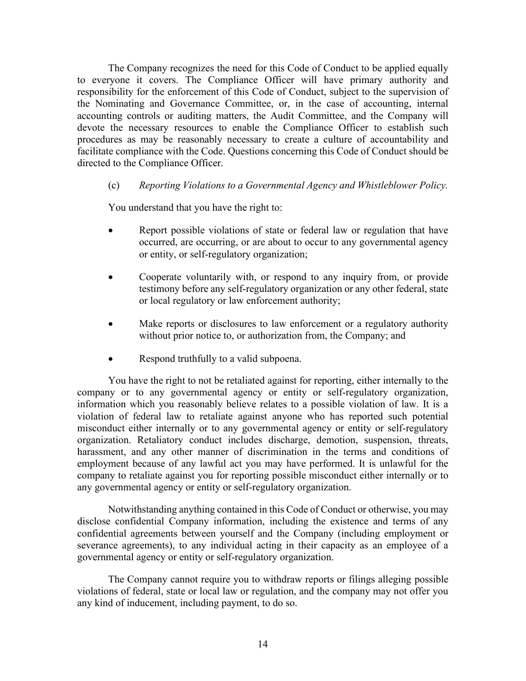The Company recognizes the need for this Code of Conduct to be applied equally to everyone it covers. The Compliance Officer will have primary authority and responsibility for the enforcement of this Code of Conduct, subject to the supervision of the Nominating and Governance Committee, or, in the case of accounting, internal accounting controls or auditing matters, the Audit Committee, and the Company will devote the necessary resources to enable the Compliance Officer to establish such procedures as may be reasonably necessary to create a culture of accountability and facilitate compliance with the Code. Questions concerning this Code of Conduct should be directed to the Compliance Officer.

# (c) *Reporting Violations to a Governmental Agency and Whistleblower Policy.*

You understand that you have the right to:

- Report possible violations of state or federal law or regulation that have occurred, are occurring, or are about to occur to any governmental agency or entity, or self-regulatory organization;
- Cooperate voluntarily with, or respond to any inquiry from, or provide testimony before any self-regulatory organization or any other federal, state or local regulatory or law enforcement authority;
- Make reports or disclosures to law enforcement or a regulatory authority without prior notice to, or authorization from, the Company; and
- Respond truthfully to a valid subpoena.

You have the right to not be retaliated against for reporting, either internally to the company or to any governmental agency or entity or self-regulatory organization, information which you reasonably believe relates to a possible violation of law. It is a violation of federal law to retaliate against anyone who has reported such potential misconduct either internally or to any governmental agency or entity or self-regulatory organization. Retaliatory conduct includes discharge, demotion, suspension, threats, harassment, and any other manner of discrimination in the terms and conditions of employment because of any lawful act you may have performed. It is unlawful for the company to retaliate against you for reporting possible misconduct either internally or to any governmental agency or entity or self-regulatory organization.

Notwithstanding anything contained in this Code of Conduct or otherwise, you may disclose confidential Company information, including the existence and terms of any confidential agreements between yourself and the Company (including employment or severance agreements), to any individual acting in their capacity as an employee of a governmental agency or entity or self-regulatory organization.

The Company cannot require you to withdraw reports or filings alleging possible violations of federal, state or local law or regulation, and the company may not offer you any kind of inducement, including payment, to do so.